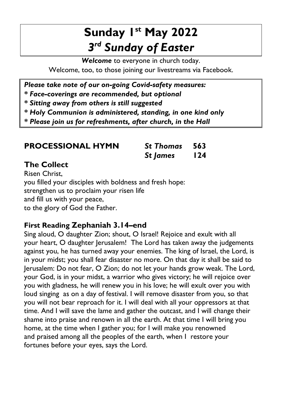## **Sunday 1 st May 2022** *3 rd Sunday of Easter*

*Welcome* to everyone in church today. Welcome, too, to those joining our livestreams via Facebook.

*Please take note of our on-going Covid-safety measures:*

*\* Face-coverings are recommended, but optional*

*\* Sitting away from others is still suggested*

*\* Holy Communion is administered, standing, in one kind only*

*\* Please join us for refreshments, after church, in the Hall*

| <b>PROCESSIONAL HYMN</b> | <b>St Thomas</b> 563 |     |
|--------------------------|----------------------|-----|
|                          | <b>St James</b>      | 124 |

#### **The Collect**

Risen Christ, you filled your disciples with boldness and fresh hope: strengthen us to proclaim your risen life and fill us with your peace, to the glory of God the Father.

#### **First Reading Zephaniah 3.14–end**

Sing aloud, O daughter Zion; shout, O Israel! Rejoice and exult with all your heart, O daughter Jerusalem! The Lord has taken away the judgements against you, he has turned away your enemies. The king of Israel, the Lord, is in your midst; you shall fear disaster no more. On that day it shall be said to Jerusalem: Do not fear, O Zion; do not let your hands grow weak. The Lord, your God, is in your midst, a warrior who gives victory; he will rejoice over you with gladness, he will renew you in his love; he will exult over you with loud singing as on a day of festival. I will remove disaster from you, so that you will not bear reproach for it. I will deal with all your oppressors at that time. And I will save the lame and gather the outcast, and I will change their shame into praise and renown in all the earth. At that time I will bring you home, at the time when I gather you; for I will make you renowned and praised among all the peoples of the earth, when I restore your fortunes before your eyes, says the Lord.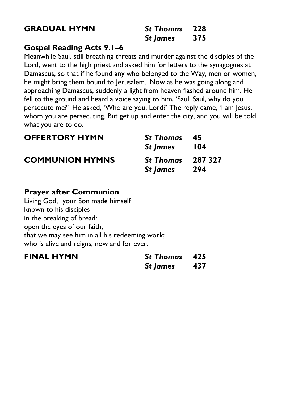#### **GRADUAL HYMN**

| <b>St Thomas</b> | 228 |
|------------------|-----|
| <b>St James</b>  | 375 |

#### **Gospel Reading Acts 9.1–6**

Meanwhile Saul, still breathing threats and murder against the disciples of the Lord, went to the high priest and asked him for letters to the synagogues at Damascus, so that if he found any who belonged to the Way, men or women, he might bring them bound to Jerusalem. Now as he was going along and approaching Damascus, suddenly a light from heaven flashed around him. He fell to the ground and heard a voice saying to him, 'Saul, Saul, why do you persecute me?' He asked, 'Who are you, Lord?' The reply came, 'I am Jesus, whom you are persecuting. But get up and enter the city, and you will be told what you are to do.

| <b>OFFERTORY HYMN</b>  | <b>St Thomas</b>         | - 45       |
|------------------------|--------------------------|------------|
|                        | St James                 | <b>104</b> |
| <b>COMMUNION HYMNS</b> | <b>St Thomas</b> 287 327 |            |
|                        | St James                 | 294        |

#### **Prayer after Communion**

Living God, your Son made himself known to his disciples in the breaking of bread: open the eyes of our faith, that we may see him in all his redeeming work; who is alive and reigns, now and for ever.

| <b>FINAL HYMN</b> | <b>St Thomas</b> 425 |     |
|-------------------|----------------------|-----|
|                   | <b>St James</b>      | 437 |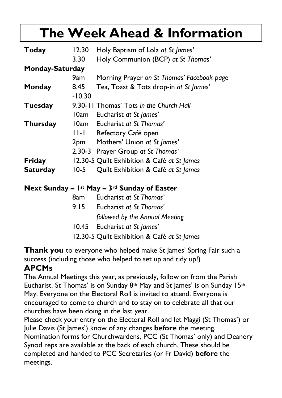# **The Week Ahead & Information**

| Today                  | 12.30    | Holy Baptism of Lola at St James'                |
|------------------------|----------|--------------------------------------------------|
|                        | 3.30     | Holy Communion (BCP) at St Thomas'               |
| <b>Monday-Saturday</b> |          |                                                  |
|                        | 9am -    | Morning Prayer on St Thomas' Facebook page       |
| Monday                 | 8.45     | Tea, Toast & Tots drop-in at St James'           |
|                        | $-10.30$ |                                                  |
| Tuesday                |          | 9.30-11 Thomas' Tots in the Church Hall          |
|                        |          | 10am Eucharist at St James'                      |
| Thursday               |          | 10am Eucharist at St Thomas'                     |
|                        |          | 11-1 Refectory Café open                         |
|                        |          | 2pm Mothers' Union at St James'                  |
|                        |          | 2.30-3 Prayer Group at St Thomas'                |
| Friday                 |          | 12.30-5 Quilt Exhibition & Café at St James      |
| <b>Saturday</b>        | $10-5$   | Quilt Exhibition & Café at St James              |
|                        |          | Next Sunday $-$ 1st May $-$ 3rd Sunday of Easter |
|                        |          |                                                  |

| 8am  | Eucharist at St Thomas'        |
|------|--------------------------------|
| 9.15 | Eucharist at St Thomas'        |
|      | followed by the Annual Meeting |
|      | 10.45 Eucharist at St James'   |

12.30-5 Quilt Exhibition & Café *at St James*

**Thank you** to everyone who helped make St James' Spring Fair such a success (including those who helped to set up and tidy up!) **APCMs** 

The Annual Meetings this year, as previously, follow on from the Parish Eucharist. St Thomas' is on Sunday  $8<sup>th</sup>$  May and St James' is on Sunday 15<sup>th</sup> May. Everyone on the Electoral Roll is invited to attend. Everyone is encouraged to come to church and to stay on to celebrate all that our churches have been doing in the last year.

Please check your entry on the Electoral Roll and let Maggi (St Thomas') or Julie Davis (St James') know of any changes **before** the meeting. Nomination forms for Churchwardens, PCC (St Thomas' only) and Deanery Synod reps are available at the back of each church. These should be completed and handed to PCC Secretaries (or Fr David) **before** the meetings.